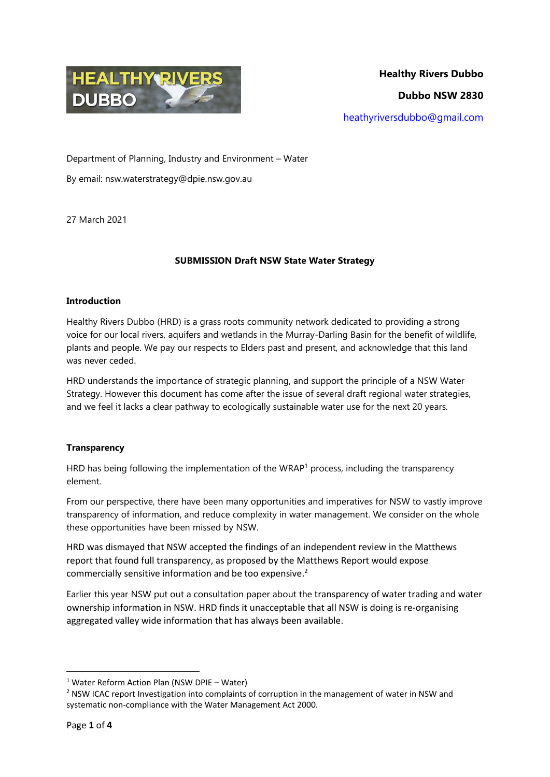

Department of Planning, Industry and Environment – Water

By email: nsw.waterstrategy@dpie.nsw.gov.au

27 March 2021

# **SUBMISSION Draft NSW State Water Strategy**

### **Introduction**

Healthy Rivers Dubbo (HRD) is a grass roots community network dedicated to providing a strong voice for our local rivers, aquifers and wetlands in the Murray-Darling Basin for the benefit of wildlife, plants and people. We pay our respects to Elders past and present, and acknowledge that this land was never ceded.

HRD understands the importance of strategic planning, and support the principle of a NSW Water Strategy. However this document has come after the issue of several draft regional water strategies, and we feel it lacks a clear pathway to ecologically sustainable water use for the next 20 years.

# **Transparency**

HRD has being following the implementation of the WRAP<sup>1</sup> process, including the transparency element.

From our perspective, there have been many opportunities and imperatives for NSW to vastly improve transparency of information, and reduce complexity in water management. We consider on the whole these opportunities have been missed by NSW.

HRD was dismayed that NSW accepted the findings of an independent review in the Matthews report that found full transparency, as proposed by the Matthews Report would expose commercially sensitive information and be too expensive.<sup>2</sup>

Earlier this year NSW put out a consultation paper about the transparency of water trading and water ownership information in NSW. HRD finds it unacceptable that all NSW is doing is re-organising aggregated valley wide information that has always been available.

**.** 

<sup>1</sup> Water Reform Action Plan (NSW DPIE – Water)

<sup>&</sup>lt;sup>2</sup> NSW ICAC report Investigation into complaints of corruption in the management of water in NSW and systematic non-compliance with the Water Management Act 2000.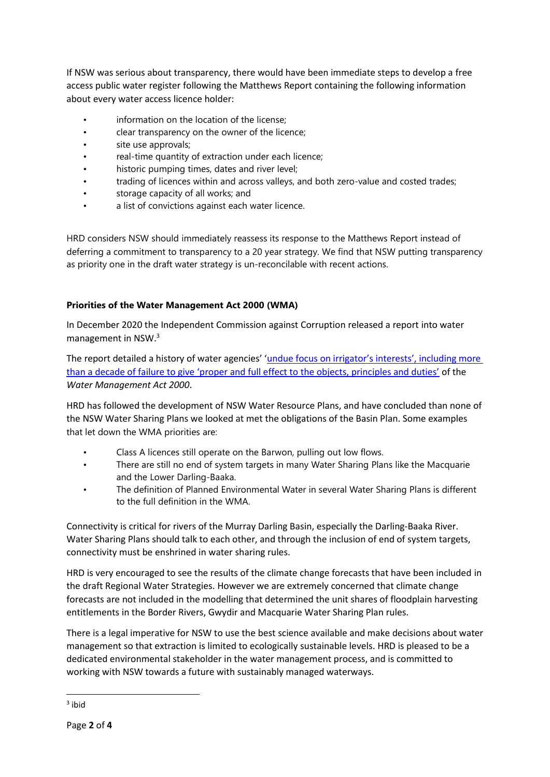If NSW was serious about transparency, there would have been immediate steps to develop a free access public water register following the Matthews Report containing the following information about every water access licence holder:

- information on the location of the license;
- clear transparency on the owner of the licence;
- site use approvals;
- real-time quantity of extraction under each licence;
- historic pumping times, dates and river level;
- trading of licences within and across valleys, and both zero-value and costed trades;
- storage capacity of all works; and
- a list of convictions against each water licence.

HRD considers NSW should immediately reassess its response to the Matthews Report instead of deferring a commitment to transparency to a 20 year strategy. We find that NSW putting transparency as priority one in the draft water strategy is un-reconcilable with recent actions.

# **Priorities of the Water Management Act 2000 (WMA)**

In December 2020 the Independent Commission against Corruption released a report into water management in NSW. 3

The report detailed a history of water agencies' ['undue focus on irrigator's interests', including more](https://www.icac.nsw.gov.au/media-centre/media-releases/2020-media-releases/icac-recommends-changes-to-government-water-management-in-nsw-after-years-of-focus-on-irrigation-industry-interests)  [than a decade of failure to give 'proper and full effect to the objects, principles and duties'](https://www.icac.nsw.gov.au/media-centre/media-releases/2020-media-releases/icac-recommends-changes-to-government-water-management-in-nsw-after-years-of-focus-on-irrigation-industry-interests) of the *Water Management Act 2000*.

HRD has followed the development of NSW Water Resource Plans, and have concluded than none of the NSW Water Sharing Plans we looked at met the obligations of the Basin Plan. Some examples that let down the WMA priorities are:

- Class A licences still operate on the Barwon, pulling out low flows.
- There are still no end of system targets in many Water Sharing Plans like the Macquarie and the Lower Darling-Baaka.
- The definition of Planned Environmental Water in several Water Sharing Plans is different to the full definition in the WMA.

Connectivity is critical for rivers of the Murray Darling Basin, especially the Darling-Baaka River. Water Sharing Plans should talk to each other, and through the inclusion of end of system targets, connectivity must be enshrined in water sharing rules.

HRD is very encouraged to see the results of the climate change forecasts that have been included in the draft Regional Water Strategies. However we are extremely concerned that climate change forecasts are not included in the modelling that determined the unit shares of floodplain harvesting entitlements in the Border Rivers, Gwydir and Macquarie Water Sharing Plan rules.

There is a legal imperative for NSW to use the best science available and make decisions about water management so that extraction is limited to ecologically sustainable levels. HRD is pleased to be a dedicated environmental stakeholder in the water management process, and is committed to working with NSW towards a future with sustainably managed waterways.

**.** 

<sup>3</sup> ibid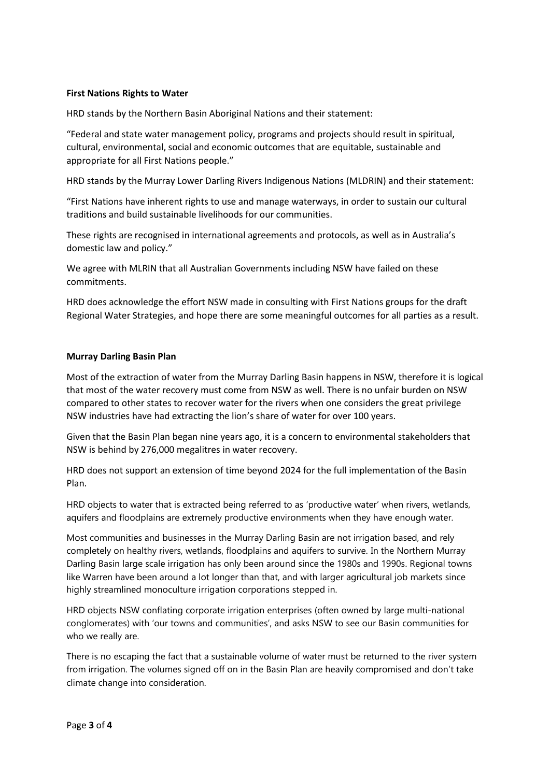### **First Nations Rights to Water**

HRD stands by the Northern Basin Aboriginal Nations and their statement:

"Federal and state water management policy, programs and projects should result in spiritual, cultural, environmental, social and economic outcomes that are equitable, sustainable and appropriate for all First Nations people."

HRD stands by the Murray Lower Darling Rivers Indigenous Nations (MLDRIN) and their statement:

"First Nations have inherent rights to use and manage waterways, in order to sustain our cultural traditions and build sustainable livelihoods for our communities.

These rights are recognised in international agreements and protocols, as well as in Australia's domestic law and policy."

We agree with MLRIN that all Australian Governments including NSW have failed on these commitments.

HRD does acknowledge the effort NSW made in consulting with First Nations groups for the draft Regional Water Strategies, and hope there are some meaningful outcomes for all parties as a result.

### **Murray Darling Basin Plan**

Most of the extraction of water from the Murray Darling Basin happens in NSW, therefore it is logical that most of the water recovery must come from NSW as well. There is no unfair burden on NSW compared to other states to recover water for the rivers when one considers the great privilege NSW industries have had extracting the lion's share of water for over 100 years.

Given that the Basin Plan began nine years ago, it is a concern to environmental stakeholders that NSW is behind by 276,000 megalitres in water recovery.

HRD does not support an extension of time beyond 2024 for the full implementation of the Basin Plan.

HRD objects to water that is extracted being referred to as 'productive water' when rivers, wetlands, aquifers and floodplains are extremely productive environments when they have enough water.

Most communities and businesses in the Murray Darling Basin are not irrigation based, and rely completely on healthy rivers, wetlands, floodplains and aquifers to survive. In the Northern Murray Darling Basin large scale irrigation has only been around since the 1980s and 1990s. Regional towns like Warren have been around a lot longer than that, and with larger agricultural job markets since highly streamlined monoculture irrigation corporations stepped in.

HRD objects NSW conflating corporate irrigation enterprises (often owned by large multi-national conglomerates) with 'our towns and communities', and asks NSW to see our Basin communities for who we really are.

There is no escaping the fact that a sustainable volume of water must be returned to the river system from irrigation. The volumes signed off on in the Basin Plan are heavily compromised and don't take climate change into consideration.